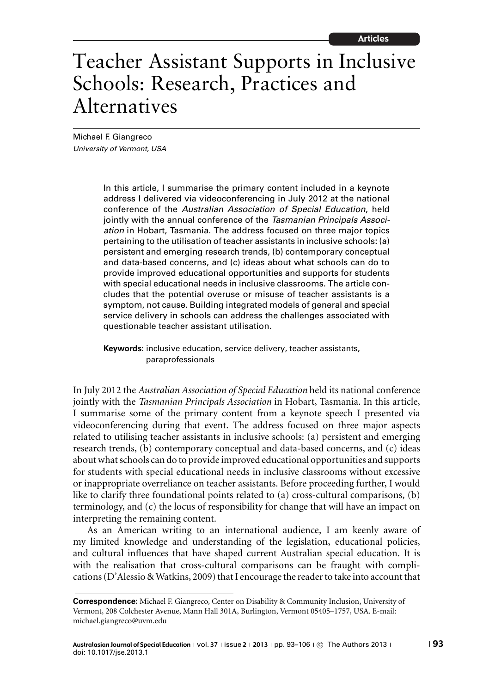# Teacher Assistant Supports in Inclusive Schools: Research, Practices and Alternatives

Michael F. Giangreco University of Vermont, USA

> In this article, I summarise the primary content included in a keynote address I delivered via videoconferencing in July 2012 at the national conference of the Australian Association of Special Education, held jointly with the annual conference of the Tasmanian Principals Association in Hobart, Tasmania. The address focused on three major topics pertaining to the utilisation of teacher assistants in inclusive schools: (a) persistent and emerging research trends, (b) contemporary conceptual and data-based concerns, and (c) ideas about what schools can do to provide improved educational opportunities and supports for students with special educational needs in inclusive classrooms. The article concludes that the potential overuse or misuse of teacher assistants is a symptom, not cause. Building integrated models of general and special service delivery in schools can address the challenges associated with questionable teacher assistant utilisation.

**Keywords:** inclusive education, service delivery, teacher assistants, paraprofessionals

In July 2012 the *Australian Association of Special Education* held its national conference jointly with the *Tasmanian Principals Association* in Hobart, Tasmania. In this article, I summarise some of the primary content from a keynote speech I presented via videoconferencing during that event. The address focused on three major aspects related to utilising teacher assistants in inclusive schools: (a) persistent and emerging research trends, (b) contemporary conceptual and data-based concerns, and (c) ideas about what schools can do to provide improved educational opportunities and supports for students with special educational needs in inclusive classrooms without excessive or inappropriate overreliance on teacher assistants. Before proceeding further, I would like to clarify three foundational points related to (a) cross-cultural comparisons, (b) terminology, and (c) the locus of responsibility for change that will have an impact on interpreting the remaining content.

As an American writing to an international audience, I am keenly aware of my limited knowledge and understanding of the legislation, educational policies, and cultural influences that have shaped current Australian special education. It is with the realisation that cross-cultural comparisons can be fraught with complications (D'Alessio & Watkins, 2009) that I encourage the reader to take into account that

**Correspondence:** Michael F. Giangreco, Center on Disability & Community Inclusion, University of Vermont, 208 Colchester Avenue, Mann Hall 301A, Burlington, Vermont 05405–1757, USA. E-mail: michael.giangreco@uvm.edu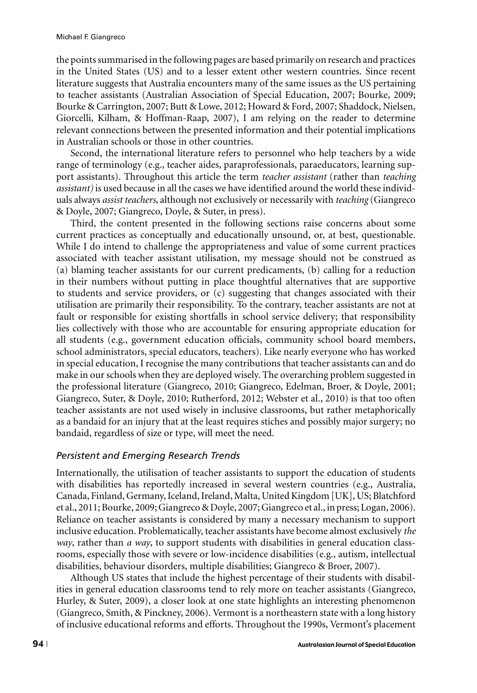the points summarised in the following pages are based primarily on research and practices in the United States (US) and to a lesser extent other western countries. Since recent literature suggests that Australia encounters many of the same issues as the US pertaining to teacher assistants (Australian Association of Special Education, 2007; Bourke, 2009; Bourke & Carrington, 2007; Butt & Lowe, 2012; Howard & Ford, 2007; Shaddock, Nielsen, Giorcelli, Kilham, & Hoffman-Raap, 2007), I am relying on the reader to determine relevant connections between the presented information and their potential implications in Australian schools or those in other countries.

Second, the international literature refers to personnel who help teachers by a wide range of terminology (e.g., teacher aides, paraprofessionals, paraeducators, learning support assistants). Throughout this article the term *teacher assistant* (rather than *teaching assistant)*is used because in all the cases we have identified around the world these individuals always *assist teachers*, although not exclusively or necessarily with *teaching* (Giangreco & Doyle, 2007; Giangreco, Doyle, & Suter, in press).

Third, the content presented in the following sections raise concerns about some current practices as conceptually and educationally unsound, or, at best, questionable. While I do intend to challenge the appropriateness and value of some current practices associated with teacher assistant utilisation, my message should not be construed as (a) blaming teacher assistants for our current predicaments, (b) calling for a reduction in their numbers without putting in place thoughtful alternatives that are supportive to students and service providers, or (c) suggesting that changes associated with their utilisation are primarily their responsibility. To the contrary, teacher assistants are not at fault or responsible for existing shortfalls in school service delivery; that responsibility lies collectively with those who are accountable for ensuring appropriate education for all students (e.g., government education officials, community school board members, school administrators, special educators, teachers). Like nearly everyone who has worked in special education, I recognise the many contributions that teacher assistants can and do make in our schools when they are deployed wisely. The overarching problem suggested in the professional literature (Giangreco, 2010; Giangreco, Edelman, Broer, & Doyle, 2001; Giangreco, Suter, & Doyle, 2010; Rutherford, 2012; Webster et al., 2010) is that too often teacher assistants are not used wisely in inclusive classrooms, but rather metaphorically as a bandaid for an injury that at the least requires stiches and possibly major surgery; no bandaid, regardless of size or type, will meet the need.

### *Persistent and Emerging Research Trends*

Internationally, the utilisation of teacher assistants to support the education of students with disabilities has reportedly increased in several western countries (e.g., Australia, Canada, Finland, Germany, Iceland, Ireland, Malta, United Kingdom [UK], US; Blatchford et al., 2011; Bourke, 2009; Giangreco & Doyle, 2007; Giangreco et al., in press; Logan, 2006). Reliance on teacher assistants is considered by many a necessary mechanism to support inclusive education. Problematically, teacher assistants have become almost exclusively *the way*, rather than *a way*, to support students with disabilities in general education classrooms, especially those with severe or low-incidence disabilities (e.g., autism, intellectual disabilities, behaviour disorders, multiple disabilities; Giangreco & Broer, 2007).

Although US states that include the highest percentage of their students with disabilities in general education classrooms tend to rely more on teacher assistants (Giangreco, Hurley, & Suter, 2009), a closer look at one state highlights an interesting phenomenon (Giangreco, Smith, & Pinckney, 2006). Vermont is a northeastern state with a long history of inclusive educational reforms and efforts. Throughout the 1990s, Vermont's placement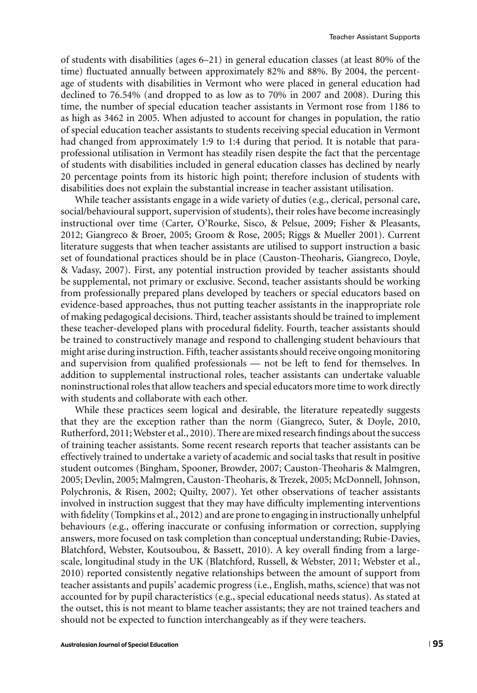of students with disabilities (ages 6–21) in general education classes (at least 80% of the time) fluctuated annually between approximately 82% and 88%. By 2004, the percentage of students with disabilities in Vermont who were placed in general education had declined to 76.54% (and dropped to as low as to 70% in 2007 and 2008). During this time, the number of special education teacher assistants in Vermont rose from 1186 to as high as 3462 in 2005. When adjusted to account for changes in population, the ratio of special education teacher assistants to students receiving special education in Vermont had changed from approximately 1:9 to 1:4 during that period. It is notable that paraprofessional utilisation in Vermont has steadily risen despite the fact that the percentage of students with disabilities included in general education classes has declined by nearly 20 percentage points from its historic high point; therefore inclusion of students with disabilities does not explain the substantial increase in teacher assistant utilisation.

While teacher assistants engage in a wide variety of duties (e.g., clerical, personal care, social/behavioural support, supervision of students), their roles have become increasingly instructional over time (Carter, O'Rourke, Sisco, & Pelsue, 2009; Fisher & Pleasants, 2012; Giangreco & Broer, 2005; Groom & Rose, 2005; Riggs & Mueller 2001). Current literature suggests that when teacher assistants are utilised to support instruction a basic set of foundational practices should be in place (Causton-Theoharis, Giangreco, Doyle, & Vadasy, 2007). First, any potential instruction provided by teacher assistants should be supplemental, not primary or exclusive. Second, teacher assistants should be working from professionally prepared plans developed by teachers or special educators based on evidence-based approaches, thus not putting teacher assistants in the inappropriate role of making pedagogical decisions. Third, teacher assistants should be trained to implement these teacher-developed plans with procedural fidelity. Fourth, teacher assistants should be trained to constructively manage and respond to challenging student behaviours that might arise during instruction. Fifth, teacher assistants should receive ongoing monitoring and supervision from qualified professionals — not be left to fend for themselves. In addition to supplemental instructional roles, teacher assistants can undertake valuable noninstructional roles that allow teachers and special educators more time to work directly with students and collaborate with each other.

While these practices seem logical and desirable, the literature repeatedly suggests that they are the exception rather than the norm (Giangreco, Suter, & Doyle, 2010, Rutherford, 2011;Webster et al., 2010). There are mixed research findings about the success of training teacher assistants. Some recent research reports that teacher assistants can be effectively trained to undertake a variety of academic and social tasks that result in positive student outcomes (Bingham, Spooner, Browder, 2007; Causton-Theoharis & Malmgren, 2005; Devlin, 2005; Malmgren, Causton-Theoharis, & Trezek, 2005; McDonnell, Johnson, Polychronis, & Risen, 2002; Quilty, 2007). Yet other observations of teacher assistants involved in instruction suggest that they may have difficulty implementing interventions with fidelity (Tompkins et al., 2012) and are prone to engaging in instructionally unhelpful behaviours (e.g., offering inaccurate or confusing information or correction, supplying answers, more focused on task completion than conceptual understanding; Rubie-Davies, Blatchford, Webster, Koutsoubou, & Bassett, 2010). A key overall finding from a largescale, longitudinal study in the UK (Blatchford, Russell, & Webster, 2011; Webster et al., 2010) reported consistently negative relationships between the amount of support from teacher assistants and pupils' academic progress (i.e., English, maths, science) that was not accounted for by pupil characteristics (e.g., special educational needs status). As stated at the outset, this is not meant to blame teacher assistants; they are not trained teachers and should not be expected to function interchangeably as if they were teachers.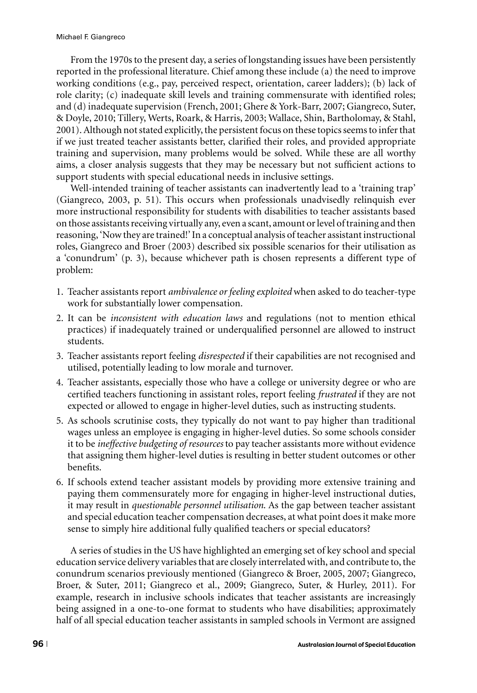From the 1970s to the present day, a series of longstanding issues have been persistently reported in the professional literature. Chief among these include (a) the need to improve working conditions (e.g., pay, perceived respect, orientation, career ladders); (b) lack of role clarity; (c) inadequate skill levels and training commensurate with identified roles; and (d) inadequate supervision (French, 2001; Ghere & York-Barr, 2007; Giangreco, Suter, & Doyle, 2010; Tillery, Werts, Roark, & Harris, 2003; Wallace, Shin, Bartholomay, & Stahl, 2001). Although not stated explicitly, the persistent focus on these topics seems to infer that if we just treated teacher assistants better, clarified their roles, and provided appropriate training and supervision, many problems would be solved. While these are all worthy aims, a closer analysis suggests that they may be necessary but not sufficient actions to support students with special educational needs in inclusive settings.

Well-intended training of teacher assistants can inadvertently lead to a 'training trap' (Giangreco, 2003, p. 51). This occurs when professionals unadvisedly relinquish ever more instructional responsibility for students with disabilities to teacher assistants based on those assistants receiving virtually any, even a scant, amount or level of training and then reasoning, 'Now they are trained!' In a conceptual analysis of teacher assistant instructional roles, Giangreco and Broer (2003) described six possible scenarios for their utilisation as a 'conundrum' (p. 3), because whichever path is chosen represents a different type of problem:

- 1. Teacher assistants report *ambivalence or feeling exploited* when asked to do teacher-type work for substantially lower compensation.
- 2. It can be *inconsistent with education laws* and regulations (not to mention ethical practices) if inadequately trained or underqualified personnel are allowed to instruct students.
- 3. Teacher assistants report feeling *disrespected* if their capabilities are not recognised and utilised, potentially leading to low morale and turnover.
- 4. Teacher assistants, especially those who have a college or university degree or who are certified teachers functioning in assistant roles, report feeling *frustrated* if they are not expected or allowed to engage in higher-level duties, such as instructing students.
- 5. As schools scrutinise costs, they typically do not want to pay higher than traditional wages unless an employee is engaging in higher-level duties. So some schools consider it to be *ineffective budgeting of resources* to pay teacher assistants more without evidence that assigning them higher-level duties is resulting in better student outcomes or other benefits.
- 6. If schools extend teacher assistant models by providing more extensive training and paying them commensurately more for engaging in higher-level instructional duties, it may result in *questionable personnel utilisation*. As the gap between teacher assistant and special education teacher compensation decreases, at what point does it make more sense to simply hire additional fully qualified teachers or special educators?

A series of studies in the US have highlighted an emerging set of key school and special education service delivery variables that are closely interrelated with, and contribute to, the conundrum scenarios previously mentioned (Giangreco & Broer, 2005, 2007; Giangreco, Broer, & Suter, 2011; Giangreco et al., 2009; Giangreco, Suter, & Hurley, 2011). For example, research in inclusive schools indicates that teacher assistants are increasingly being assigned in a one-to-one format to students who have disabilities; approximately half of all special education teacher assistants in sampled schools in Vermont are assigned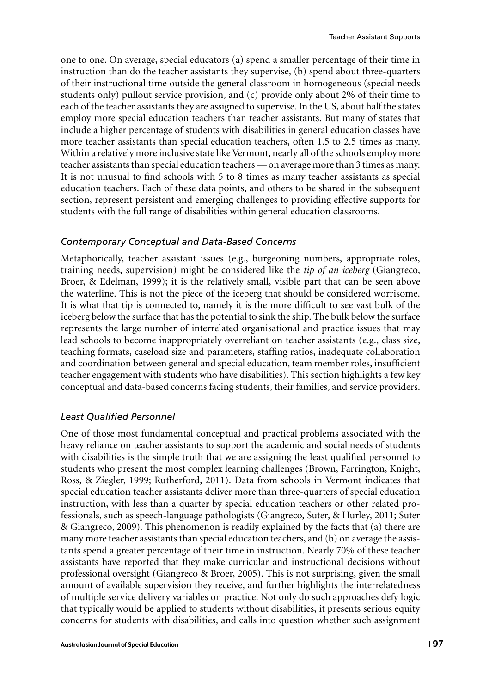one to one. On average, special educators (a) spend a smaller percentage of their time in instruction than do the teacher assistants they supervise, (b) spend about three-quarters of their instructional time outside the general classroom in homogeneous (special needs students only) pullout service provision, and (c) provide only about 2% of their time to each of the teacher assistants they are assigned to supervise. In the US, about half the states employ more special education teachers than teacher assistants. But many of states that include a higher percentage of students with disabilities in general education classes have more teacher assistants than special education teachers, often 1.5 to 2.5 times as many. Within a relatively more inclusive state like Vermont, nearly all of the schools employ more teacher assistants than special education teachers— on average more than 3 times as many. It is not unusual to find schools with 5 to 8 times as many teacher assistants as special education teachers. Each of these data points, and others to be shared in the subsequent section, represent persistent and emerging challenges to providing effective supports for students with the full range of disabilities within general education classrooms.

### *Contemporary Conceptual and Data-Based Concerns*

Metaphorically, teacher assistant issues (e.g., burgeoning numbers, appropriate roles, training needs, supervision) might be considered like the *tip of an iceberg* (Giangreco, Broer, & Edelman, 1999); it is the relatively small, visible part that can be seen above the waterline. This is not the piece of the iceberg that should be considered worrisome. It is what that tip is connected to, namely it is the more difficult to see vast bulk of the iceberg below the surface that has the potential to sink the ship. The bulk below the surface represents the large number of interrelated organisational and practice issues that may lead schools to become inappropriately overreliant on teacher assistants (e.g., class size, teaching formats, caseload size and parameters, staffing ratios, inadequate collaboration and coordination between general and special education, team member roles, insufficient teacher engagement with students who have disabilities). This section highlights a few key conceptual and data-based concerns facing students, their families, and service providers.

### *Least Qualified Personnel*

One of those most fundamental conceptual and practical problems associated with the heavy reliance on teacher assistants to support the academic and social needs of students with disabilities is the simple truth that we are assigning the least qualified personnel to students who present the most complex learning challenges (Brown, Farrington, Knight, Ross, & Ziegler, 1999; Rutherford, 2011). Data from schools in Vermont indicates that special education teacher assistants deliver more than three-quarters of special education instruction, with less than a quarter by special education teachers or other related professionals, such as speech-language pathologists (Giangreco, Suter, & Hurley, 2011; Suter & Giangreco, 2009). This phenomenon is readily explained by the facts that (a) there are many more teacher assistants than special education teachers, and (b) on average the assistants spend a greater percentage of their time in instruction. Nearly 70% of these teacher assistants have reported that they make curricular and instructional decisions without professional oversight (Giangreco & Broer, 2005). This is not surprising, given the small amount of available supervision they receive, and further highlights the interrelatedness of multiple service delivery variables on practice. Not only do such approaches defy logic that typically would be applied to students without disabilities, it presents serious equity concerns for students with disabilities, and calls into question whether such assignment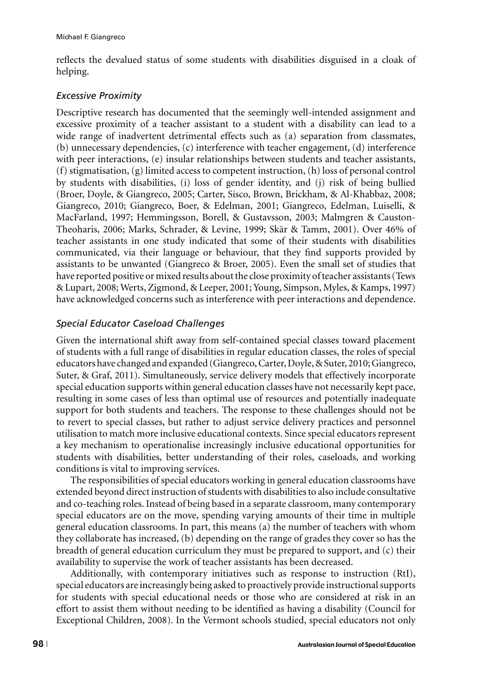reflects the devalued status of some students with disabilities disguised in a cloak of helping.

## *Excessive Proximity*

Descriptive research has documented that the seemingly well-intended assignment and excessive proximity of a teacher assistant to a student with a disability can lead to a wide range of inadvertent detrimental effects such as (a) separation from classmates, (b) unnecessary dependencies, (c) interference with teacher engagement, (d) interference with peer interactions, (e) insular relationships between students and teacher assistants, (f) stigmatisation, (g) limited access to competent instruction, (h) loss of personal control by students with disabilities, (i) loss of gender identity, and (j) risk of being bullied (Broer, Doyle, & Giangreco, 2005; Carter, Sisco, Brown, Brickham, & Al-Khabbaz, 2008; Giangreco, 2010; Giangreco, Boer, & Edelman, 2001; Giangreco, Edelman, Luiselli, & MacFarland, 1997; Hemmingsson, Borell, & Gustavsson, 2003; Malmgren & Causton-Theoharis, 2006; Marks, Schrader, & Levine, 1999; Skar & Tamm, 2001). Over 46% of ¨ teacher assistants in one study indicated that some of their students with disabilities communicated, via their language or behaviour, that they find supports provided by assistants to be unwanted (Giangreco & Broer, 2005). Even the small set of studies that have reported positive or mixed results about the close proximity of teacher assistants (Tews & Lupart, 2008; Werts, Zigmond, & Leeper, 2001; Young, Simpson, Myles, & Kamps, 1997) have acknowledged concerns such as interference with peer interactions and dependence.

## *Special Educator Caseload Challenges*

Given the international shift away from self-contained special classes toward placement of students with a full range of disabilities in regular education classes, the roles of special educators have changed and expanded (Giangreco, Carter, Doyle, & Suter, 2010; Giangreco, Suter, & Graf, 2011). Simultaneously, service delivery models that effectively incorporate special education supports within general education classes have not necessarily kept pace, resulting in some cases of less than optimal use of resources and potentially inadequate support for both students and teachers. The response to these challenges should not be to revert to special classes, but rather to adjust service delivery practices and personnel utilisation to match more inclusive educational contexts. Since special educators represent a key mechanism to operationalise increasingly inclusive educational opportunities for students with disabilities, better understanding of their roles, caseloads, and working conditions is vital to improving services.

The responsibilities of special educators working in general education classrooms have extended beyond direct instruction of students with disabilities to also include consultative and co-teaching roles. Instead of being based in a separate classroom, many contemporary special educators are on the move, spending varying amounts of their time in multiple general education classrooms. In part, this means (a) the number of teachers with whom they collaborate has increased, (b) depending on the range of grades they cover so has the breadth of general education curriculum they must be prepared to support, and (c) their availability to supervise the work of teacher assistants has been decreased.

Additionally, with contemporary initiatives such as response to instruction (RtI), special educators are increasingly being asked to proactively provide instructional supports for students with special educational needs or those who are considered at risk in an effort to assist them without needing to be identified as having a disability (Council for Exceptional Children, 2008). In the Vermont schools studied, special educators not only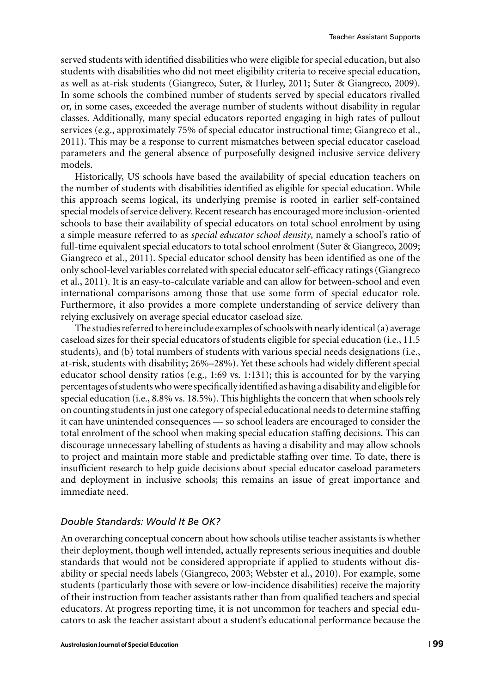served students with identified disabilities who were eligible for special education, but also students with disabilities who did not meet eligibility criteria to receive special education, as well as at-risk students (Giangreco, Suter, & Hurley, 2011; Suter & Giangreco, 2009). In some schools the combined number of students served by special educators rivalled or, in some cases, exceeded the average number of students without disability in regular classes. Additionally, many special educators reported engaging in high rates of pullout services (e.g., approximately 75% of special educator instructional time; Giangreco et al., 2011). This may be a response to current mismatches between special educator caseload parameters and the general absence of purposefully designed inclusive service delivery models.

Historically, US schools have based the availability of special education teachers on the number of students with disabilities identified as eligible for special education. While this approach seems logical, its underlying premise is rooted in earlier self-contained special models of service delivery. Recent research has encouraged more inclusion-oriented schools to base their availability of special educators on total school enrolment by using a simple measure referred to as *special educator school density*, namely a school's ratio of full-time equivalent special educators to total school enrolment (Suter & Giangreco, 2009; Giangreco et al., 2011). Special educator school density has been identified as one of the only school-level variables correlated with special educator self-efficacy ratings (Giangreco et al., 2011). It is an easy-to-calculate variable and can allow for between-school and even international comparisons among those that use some form of special educator role. Furthermore, it also provides a more complete understanding of service delivery than relying exclusively on average special educator caseload size.

The studies referred to here include examples of schools with nearly identical (a) average caseload sizes for their special educators of students eligible for special education (i.e., 11.5 students), and (b) total numbers of students with various special needs designations (i.e., at-risk, students with disability; 26%–28%). Yet these schools had widely different special educator school density ratios (e.g., 1:69 vs. 1:131); this is accounted for by the varying percentages of studentswhowere specificallyidentified as having a disability and eligiblefor special education (i.e., 8.8% vs. 18.5%). This highlights the concern that when schools rely on counting students in just one category of special educational needs to determine staffing it can have unintended consequences — so school leaders are encouraged to consider the total enrolment of the school when making special education staffing decisions. This can discourage unnecessary labelling of students as having a disability and may allow schools to project and maintain more stable and predictable staffing over time. To date, there is insufficient research to help guide decisions about special educator caseload parameters and deployment in inclusive schools; this remains an issue of great importance and immediate need.

## *Double Standards: Would It Be OK?*

An overarching conceptual concern about how schools utilise teacher assistants is whether their deployment, though well intended, actually represents serious inequities and double standards that would not be considered appropriate if applied to students without disability or special needs labels (Giangreco, 2003; Webster et al., 2010). For example, some students (particularly those with severe or low-incidence disabilities) receive the majority of their instruction from teacher assistants rather than from qualified teachers and special educators. At progress reporting time, it is not uncommon for teachers and special educators to ask the teacher assistant about a student's educational performance because the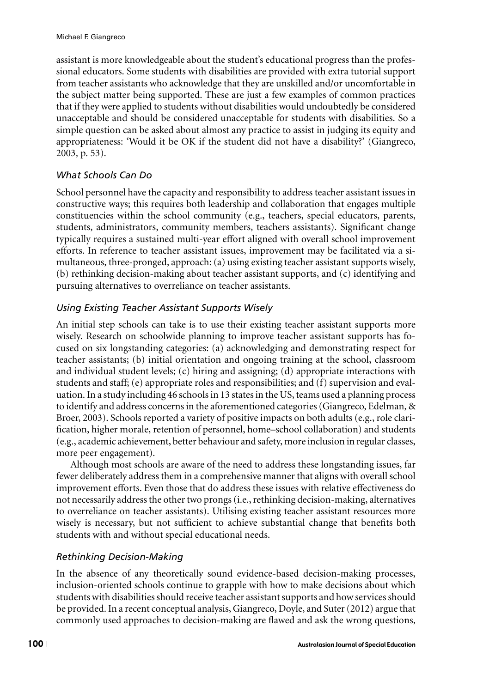assistant is more knowledgeable about the student's educational progress than the professional educators. Some students with disabilities are provided with extra tutorial support from teacher assistants who acknowledge that they are unskilled and/or uncomfortable in the subject matter being supported. These are just a few examples of common practices that if they were applied to students without disabilities would undoubtedly be considered unacceptable and should be considered unacceptable for students with disabilities. So a simple question can be asked about almost any practice to assist in judging its equity and appropriateness: 'Would it be OK if the student did not have a disability?' (Giangreco, 2003, p. 53).

# *What Schools Can Do*

School personnel have the capacity and responsibility to address teacher assistant issues in constructive ways; this requires both leadership and collaboration that engages multiple constituencies within the school community (e.g., teachers, special educators, parents, students, administrators, community members, teachers assistants). Significant change typically requires a sustained multi-year effort aligned with overall school improvement efforts. In reference to teacher assistant issues, improvement may be facilitated via a simultaneous, three-pronged, approach: (a) using existing teacher assistant supports wisely, (b) rethinking decision-making about teacher assistant supports, and (c) identifying and pursuing alternatives to overreliance on teacher assistants.

# *Using Existing Teacher Assistant Supports Wisely*

An initial step schools can take is to use their existing teacher assistant supports more wisely. Research on schoolwide planning to improve teacher assistant supports has focused on six longstanding categories: (a) acknowledging and demonstrating respect for teacher assistants; (b) initial orientation and ongoing training at the school, classroom and individual student levels; (c) hiring and assigning; (d) appropriate interactions with students and staff; (e) appropriate roles and responsibilities; and (f) supervision and evaluation. In a study including 46 schools in 13 states in the US, teams used a planning process to identify and address concerns in the aforementioned categories (Giangreco, Edelman, & Broer, 2003). Schools reported a variety of positive impacts on both adults (e.g., role clarification, higher morale, retention of personnel, home–school collaboration) and students (e.g., academic achievement, better behaviour and safety, more inclusion in regular classes, more peer engagement).

Although most schools are aware of the need to address these longstanding issues, far fewer deliberately address them in a comprehensive manner that aligns with overall school improvement efforts. Even those that do address these issues with relative effectiveness do not necessarily address the other two prongs (i.e., rethinking decision-making, alternatives to overreliance on teacher assistants). Utilising existing teacher assistant resources more wisely is necessary, but not sufficient to achieve substantial change that benefits both students with and without special educational needs.

# *Rethinking Decision-Making*

In the absence of any theoretically sound evidence-based decision-making processes, inclusion-oriented schools continue to grapple with how to make decisions about which students with disabilities should receive teacher assistant supports and how services should be provided. In a recent conceptual analysis, Giangreco, Doyle, and Suter (2012) argue that commonly used approaches to decision-making are flawed and ask the wrong questions,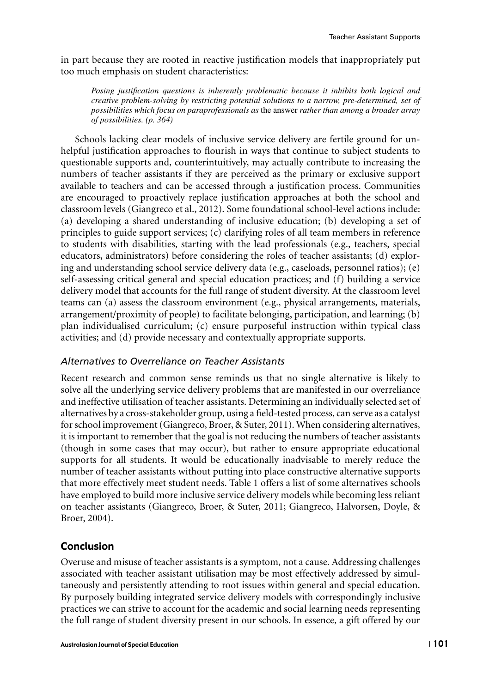in part because they are rooted in reactive justification models that inappropriately put too much emphasis on student characteristics:

*Posing justification questions is inherently problematic because it inhibits both logical and creative problem-solving by restricting potential solutions to a narrow, pre-determined, set of possibilities which focus on paraprofessionals as* the answer *rather than among a broader array of possibilities. (p. 364)*

Schools lacking clear models of inclusive service delivery are fertile ground for unhelpful justification approaches to flourish in ways that continue to subject students to questionable supports and, counterintuitively, may actually contribute to increasing the numbers of teacher assistants if they are perceived as the primary or exclusive support available to teachers and can be accessed through a justification process. Communities are encouraged to proactively replace justification approaches at both the school and classroom levels (Giangreco et al., 2012). Some foundational school-level actions include: (a) developing a shared understanding of inclusive education; (b) developing a set of principles to guide support services; (c) clarifying roles of all team members in reference to students with disabilities, starting with the lead professionals (e.g., teachers, special educators, administrators) before considering the roles of teacher assistants; (d) exploring and understanding school service delivery data (e.g., caseloads, personnel ratios); (e) self-assessing critical general and special education practices; and (f) building a service delivery model that accounts for the full range of student diversity. At the classroom level teams can (a) assess the classroom environment (e.g., physical arrangements, materials, arrangement/proximity of people) to facilitate belonging, participation, and learning; (b) plan individualised curriculum; (c) ensure purposeful instruction within typical class activities; and (d) provide necessary and contextually appropriate supports.

## *Alternatives to Overreliance on Teacher Assistants*

Recent research and common sense reminds us that no single alternative is likely to solve all the underlying service delivery problems that are manifested in our overreliance and ineffective utilisation of teacher assistants. Determining an individually selected set of alternatives by a cross-stakeholder group, using a field-tested process, can serve as a catalyst for school improvement (Giangreco, Broer, & Suter, 2011). When considering alternatives, it is important to remember that the goal is not reducing the numbers of teacher assistants (though in some cases that may occur), but rather to ensure appropriate educational supports for all students. It would be educationally inadvisable to merely reduce the number of teacher assistants without putting into place constructive alternative supports that more effectively meet student needs. Table 1 offers a list of some alternatives schools have employed to build more inclusive service delivery models while becoming less reliant on teacher assistants (Giangreco, Broer, & Suter, 2011; Giangreco, Halvorsen, Doyle, & Broer, 2004).

## Conclusion

Overuse and misuse of teacher assistants is a symptom, not a cause. Addressing challenges associated with teacher assistant utilisation may be most effectively addressed by simultaneously and persistently attending to root issues within general and special education. By purposely building integrated service delivery models with correspondingly inclusive practices we can strive to account for the academic and social learning needs representing the full range of student diversity present in our schools. In essence, a gift offered by our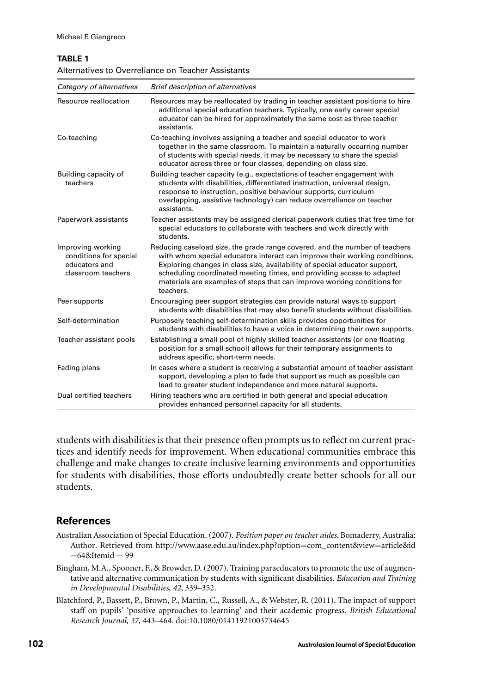### **TABLE 1**

| Alternatives to Overreliance on Teacher Assistants |  |
|----------------------------------------------------|--|
|----------------------------------------------------|--|

| Category of alternatives                                                           | <b>Brief description of alternatives</b>                                                                                                                                                                                                                                                                                                                                                                 |
|------------------------------------------------------------------------------------|----------------------------------------------------------------------------------------------------------------------------------------------------------------------------------------------------------------------------------------------------------------------------------------------------------------------------------------------------------------------------------------------------------|
| Resource reallocation                                                              | Resources may be reallocated by trading in teacher assistant positions to hire<br>additional special education teachers. Typically, one early career special<br>educator can be hired for approximately the same cost as three teacher<br>assistants.                                                                                                                                                    |
| Co-teaching                                                                        | Co-teaching involves assigning a teacher and special educator to work<br>together in the same classroom. To maintain a naturally occurring number<br>of students with special needs, it may be necessary to share the special<br>educator across three or four classes, depending on class size.                                                                                                         |
| Building capacity of<br>teachers                                                   | Building teacher capacity (e.g., expectations of teacher engagement with<br>students with disabilities, differentiated instruction, universal design,<br>response to instruction, positive behaviour supports, curriculum<br>overlapping, assistive technology) can reduce overreliance on teacher<br>assistants.                                                                                        |
| Paperwork assistants                                                               | Teacher assistants may be assigned clerical paperwork duties that free time for<br>special educators to collaborate with teachers and work directly with<br>students.                                                                                                                                                                                                                                    |
| Improving working<br>conditions for special<br>educators and<br>classroom teachers | Reducing caseload size, the grade range covered, and the number of teachers<br>with whom special educators interact can improve their working conditions.<br>Exploring changes in class size, availability of special educator support,<br>scheduling coordinated meeting times, and providing access to adapted<br>materials are examples of steps that can improve working conditions for<br>teachers. |
| Peer supports                                                                      | Encouraging peer support strategies can provide natural ways to support<br>students with disabilities that may also benefit students without disabilities.                                                                                                                                                                                                                                               |
| Self-determination                                                                 | Purposely teaching self-determination skills provides opportunities for<br>students with disabilities to have a voice in determining their own supports.                                                                                                                                                                                                                                                 |
| Teacher assistant pools                                                            | Establishing a small pool of highly skilled teacher assistants (or one floating<br>position for a small school) allows for their temporary assignments to<br>address specific, short-term needs.                                                                                                                                                                                                         |
| Fading plans                                                                       | In cases where a student is receiving a substantial amount of teacher assistant<br>support, developing a plan to fade that support as much as possible can<br>lead to greater student independence and more natural supports.                                                                                                                                                                            |
| Dual certified teachers                                                            | Hiring teachers who are certified in both general and special education<br>provides enhanced personnel capacity for all students.                                                                                                                                                                                                                                                                        |

students with disabilities is that their presence often prompts us to reflect on current practices and identify needs for improvement. When educational communities embrace this challenge and make changes to create inclusive learning environments and opportunities for students with disabilities, those efforts undoubtedly create better schools for all our students.

## **References**

- Australian Association of Special Education. (2007). *Position paper on teacher aides*. Bomaderry, Australia: Author. Retrieved from http://www.aase.edu.au/index.php?option=com\_content&view=article&id  $=64$ &Itemid  $= 99$
- Bingham, M.A., Spooner, F., & Browder, D. (2007). Training paraeducators to promote the use of augmentative and alternative communication by students with significant disabilities. *Education and Training in Developmental Disabilities*, *42*, 339–352.
- Blatchford, P., Bassett, P., Brown, P., Martin, C., Russell, A., & Webster, R. (2011). The impact of support staff on pupils' 'positive approaches to learning' and their academic progress. *British Educational Research Journal*, *37*, 443–464. doi:10.1080/01411921003734645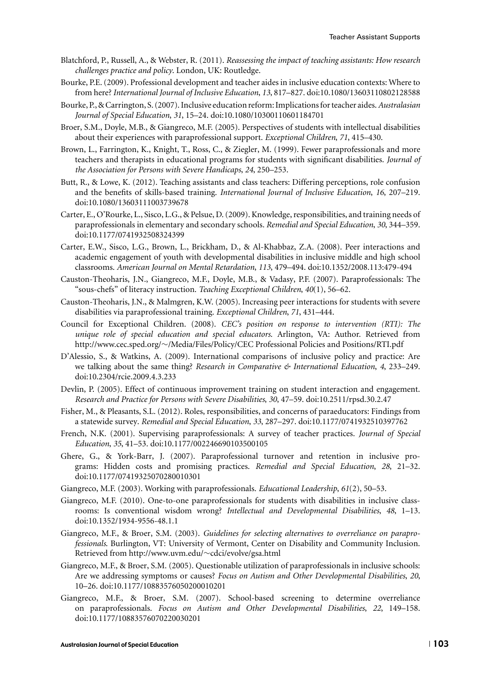- Blatchford, P., Russell, A., & Webster, R. (2011). *Reassessing the impact of teaching assistants: How research challenges practice and policy*. London, UK: Routledge.
- Bourke, P.E. (2009). Professional development and teacher aides in inclusive education contexts: Where to from here? *International Journal of Inclusive Education*, *13*, 817–827. doi:10.1080/13603110802128588
- Bourke, P., & Carrington, S. (2007). Inclusive education reform: Implicationsfor teacher aides.*Australasian Journal of Special Education*, *31*, 15–24. doi:10.1080/10300110601184701
- Broer, S.M., Doyle, M.B., & Giangreco, M.F. (2005). Perspectives of students with intellectual disabilities about their experiences with paraprofessional support. *Exceptional Children*, *71*, 415–430.
- Brown, L., Farrington, K., Knight, T., Ross, C., & Ziegler, M. (1999). Fewer paraprofessionals and more teachers and therapists in educational programs for students with significant disabilities. *Journal of the Association for Persons with Severe Handicaps*, *24*, 250–253.
- Butt, R., & Lowe, K. (2012). Teaching assistants and class teachers: Differing perceptions, role confusion and the benefits of skills-based training. *International Journal of Inclusive Education*, *16*, 207–219. doi:10.1080/13603111003739678
- Carter, E., O'Rourke, L., Sisco, L.G., & Pelsue, D. (2009). Knowledge, responsibilities, and training needs of paraprofessionals in elementary and secondary schools. *Remedial and Special Education*, *30*, 344–359. doi:10.1177/0741932508324399
- Carter, E.W., Sisco, L.G., Brown, L., Brickham, D., & Al-Khabbaz, Z.A. (2008). Peer interactions and academic engagement of youth with developmental disabilities in inclusive middle and high school classrooms. *American Journal on Mental Retardation*, *113*, 479–494. doi:10.1352/2008.113:479-494
- Causton-Theoharis, J.N., Giangreco, M.F., Doyle, M.B., & Vadasy, P.F. (2007). Paraprofessionals: The "sous-chefs" of literacy instruction. *Teaching Exceptional Children*, *40*(1), 56–62.
- Causton-Theoharis, J.N., & Malmgren, K.W. (2005). Increasing peer interactions for students with severe disabilities via paraprofessional training. *Exceptional Children*, *71*, 431–444.
- Council for Exceptional Children. (2008). *CEC's position on response to intervention (RTI): The unique role of special education and special educators*. Arlington, VA: Author. Retrieved from http://www.cec.sped.org/∼/Media/Files/Policy/CEC Professional Policies and Positions/RTI.pdf
- D'Alessio, S., & Watkins, A. (2009). International comparisons of inclusive policy and practice: Are we talking about the same thing? *Research in Comparative & International Education*, *4*, 233–249. doi:10.2304/rcie.2009.4.3.233
- Devlin, P. (2005). Effect of continuous improvement training on student interaction and engagement. *Research and Practice for Persons with Severe Disabilities*, *30*, 47–59. doi:10.2511/rpsd.30.2.47
- Fisher, M., & Pleasants, S.L. (2012). Roles, responsibilities, and concerns of paraeducators: Findings from a statewide survey. *Remedial and Special Education*, *33*, 287–297. doi:10.1177/0741932510397762
- French, N.K. (2001). Supervising paraprofessionals: A survey of teacher practices. *Journal of Special Education*, *35*, 41–53. doi:10.1177/002246690103500105
- Ghere, G., & York-Barr, J. (2007). Paraprofessional turnover and retention in inclusive programs: Hidden costs and promising practices. *Remedial and Special Education*, *28*, 21–32. doi:10.1177/07419325070280010301
- Giangreco, M.F. (2003). Working with paraprofessionals. *Educational Leadership*, *61*(2), 50–53.
- Giangreco, M.F. (2010). One-to-one paraprofessionals for students with disabilities in inclusive classrooms: Is conventional wisdom wrong? *Intellectual and Developmental Disabilities*, *48*, 1–13. doi:10.1352/1934-9556-48.1.1
- Giangreco, M.F., & Broer, S.M. (2003). *Guidelines for selecting alternatives to overreliance on paraprofessionals*. Burlington, VT: University of Vermont, Center on Disability and Community Inclusion. Retrieved from http://www.uvm.edu/∼cdci/evolve/gsa.html
- Giangreco, M.F., & Broer, S.M. (2005). Questionable utilization of paraprofessionals in inclusive schools: Are we addressing symptoms or causes? *Focus on Autism and Other Developmental Disabilities*, *20*, 10–26. doi:10.1177/10883576050200010201
- Giangreco, M.F., & Broer, S.M. (2007). School-based screening to determine overreliance on paraprofessionals. *Focus on Autism and Other Developmental Disabilities*, *22*, 149–158. doi:10.1177/10883576070220030201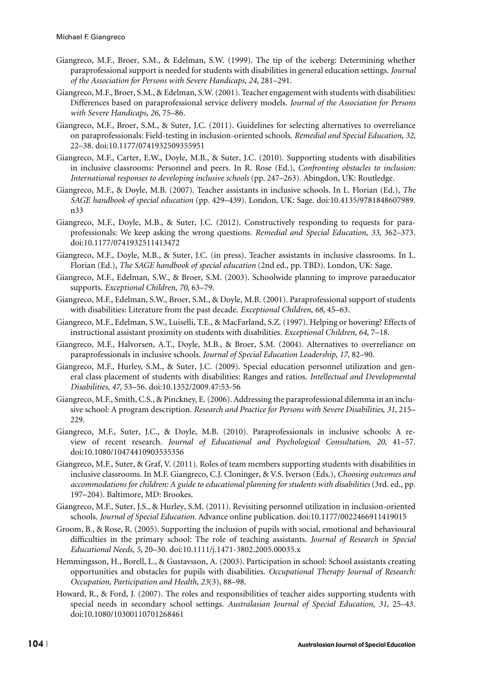- Giangreco, M.F., Broer, S.M., & Edelman, S.W. (1999). The tip of the iceberg: Determining whether paraprofessional support is needed for students with disabilities in general education settings. *Journal of the Association for Persons with Severe Handicaps*, *24*, 281–291.
- Giangreco, M.F., Broer, S.M., & Edelman, S.W. (2001). Teacher engagement with students with disabilities: Differences based on paraprofessional service delivery models. *Journal of the Association for Persons with Severe Handicaps*, *26*, 75–86.
- Giangreco, M.F., Broer, S.M., & Suter, J.C. (2011). Guidelines for selecting alternatives to overreliance on paraprofessionals: Field-testing in inclusion-oriented schools. *Remedial and Special Education*, *32*, 22–38. doi:10.1177/0741932509355951
- Giangreco, M.F., Carter, E.W., Doyle, M.B., & Suter, J.C. (2010). Supporting students with disabilities in inclusive classrooms: Personnel and peers. In R. Rose (Ed.), *Confronting obstacles to inclusion: International responses to developing inclusive schools* (pp. 247–263). Abingdon, UK: Routledge.
- Giangreco, M.F., & Doyle, M.B. (2007). Teacher assistants in inclusive schools. In L. Florian (Ed.), *The SAGE handbook of special education* (pp. 429–439). London, UK: Sage. doi:10.4135/9781848607989. n33
- Giangreco, M.F., Doyle, M.B., & Suter, J.C. (2012). Constructively responding to requests for paraprofessionals: We keep asking the wrong questions. *Remedial and Special Education*, *33*, 362–373. doi:10.1177/0741932511413472
- Giangreco, M.F., Doyle, M.B., & Suter, J.C. (in press). Teacher assistants in inclusive classrooms. In L. Florian (Ed.), *The SAGE handbook of special education* (2nd ed., pp. TBD). London, UK: Sage.
- Giangreco, M.F., Edelman, S.W., & Broer, S.M. (2003). Schoolwide planning to improve paraeducator supports. *Exceptional Children*, *70*, 63–79.
- Giangreco, M.F., Edelman, S.W., Broer, S.M., & Doyle, M.B. (2001). Paraprofessional support of students with disabilities: Literature from the past decade. *Exceptional Children*, *68*, 45–63.
- Giangreco, M.F., Edelman, S.W., Luiselli, T.E., & MacFarland, S.Z. (1997). Helping or hovering? Effects of instructional assistant proximity on students with disabilities. *Exceptional Children*, *64*, 7–18.
- Giangreco, M.F., Halvorsen, A.T., Doyle, M.B., & Broer, S.M. (2004). Alternatives to overreliance on paraprofessionals in inclusive schools. *Journal of Special Education Leadership*, *17*, 82–90.
- Giangreco, M.F., Hurley, S.M., & Suter, J.C. (2009). Special education personnel utilization and general class placement of students with disabilities: Ranges and ratios. *Intellectual and Developmental Disabilities*, *47*, 53–56. doi:10.1352/2009.47:53-56
- Giangreco, M.F., Smith, C.S., & Pinckney, E. (2006). Addressing the paraprofessional dilemma in an inclusive school: A program description. *Research and Practice for Persons with Severe Disabilities*, *31*, 215– 229.
- Giangreco, M.F., Suter, J.C., & Doyle, M.B. (2010). Paraprofessionals in inclusive schools: A review of recent research. *Journal of Educational and Psychological Consultation*, *20*, 41–57. doi:10.1080/10474410903535356
- Giangreco, M.F., Suter, & Graf, V. (2011). Roles of team members supporting students with disabilities in inclusive classrooms. In M.F. Giangreco, C.J. Cloninger, & V.S. Iverson (Eds.), *Choosing outcomes and accommodations for children: A guide to educational planning for students with disabilities* (3rd. ed., pp. 197–204). Baltimore, MD: Brookes.
- Giangreco, M.F., Suter, J.S., & Hurley, S.M. (2011). Revisiting personnel utilization in inclusion-oriented schools. *Journal of Special Education*. Advance online publication. doi:10.1177/0022466911419015
- Groom, B., & Rose, R. (2005). Supporting the inclusion of pupils with social, emotional and behavioural difficulties in the primary school: The role of teaching assistants. *Journal of Research in Special Educational Needs*, *5*, 20–30. doi:10.1111/j.1471-3802.2005.00035.x
- Hemmingsson, H., Borell, L., & Gustavsson, A. (2003). Participation in school: School assistants creating opportunities and obstacles for pupils with disabilities. *Occupational Therapy Journal of Research: Occupation, Participation and Health*, *23*(3), 88–98.
- Howard, R., & Ford, J. (2007). The roles and responsibilities of teacher aides supporting students with special needs in secondary school settings. *Australasian Journal of Special Education*, *31*, 25–43. doi:10.1080/10300110701268461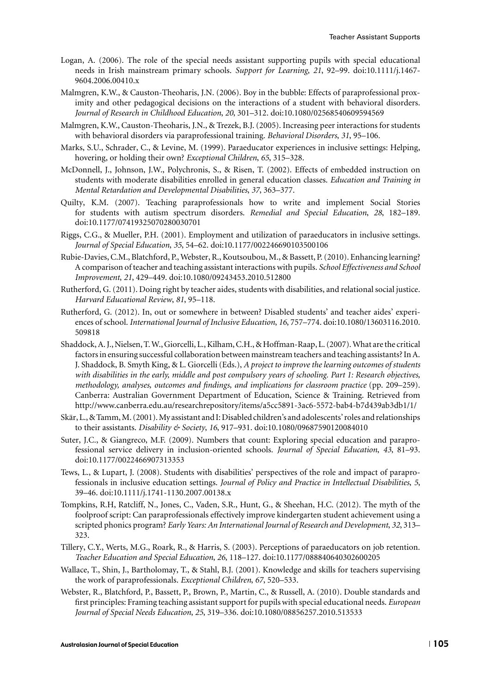- Logan, A. (2006). The role of the special needs assistant supporting pupils with special educational needs in Irish mainstream primary schools. *Support for Learning*, *21*, 92–99. doi:10.1111/j.1467- 9604.2006.00410.x
- Malmgren, K.W., & Causton-Theoharis, J.N. (2006). Boy in the bubble: Effects of paraprofessional proximity and other pedagogical decisions on the interactions of a student with behavioral disorders. *Journal of Research in Childhood Education*, *20*, 301–312. doi:10.1080/02568540609594569
- Malmgren, K.W., Causton-Theoharis, J.N., & Trezek, B.J. (2005). Increasing peer interactions for students with behavioral disorders via paraprofessional training. *Behavioral Disorders*, *31*, 95–106.
- Marks, S.U., Schrader, C., & Levine, M. (1999). Paraeducator experiences in inclusive settings: Helping, hovering, or holding their own? *Exceptional Children*, *65*, 315–328.
- McDonnell, J., Johnson, J.W., Polychronis, S., & Risen, T. (2002). Effects of embedded instruction on students with moderate disabilities enrolled in general education classes. *Education and Training in Mental Retardation and Developmental Disabilities*, *37*, 363–377.
- Quilty, K.M. (2007). Teaching paraprofessionals how to write and implement Social Stories for students with autism spectrum disorders. *Remedial and Special Education*, *28*, 182–189. doi:10.1177/07419325070280030701
- Riggs, C.G., & Mueller, P.H. (2001). Employment and utilization of paraeducators in inclusive settings. *Journal of Special Education*, *35*, 54–62. doi:10.1177/002246690103500106
- Rubie-Davies, C.M., Blatchford, P., Webster, R., Koutsoubou, M., & Bassett, P. (2010). Enhancing learning? A comparison of teacher and teaching assistant interactions with pupils. *School Effectiveness and School Improvement*, *21*, 429–449. doi:10.1080/09243453.2010.512800
- Rutherford, G. (2011). Doing right by teacher aides, students with disabilities, and relational social justice. *Harvard Educational Review*, *81*, 95–118.
- Rutherford, G. (2012). In, out or somewhere in between? Disabled students' and teacher aides' experiences of school. *International Journal of Inclusive Education*, *16*, 757–774. doi:10.1080/13603116.2010. 509818
- Shaddock, A. J., Nielsen, T.W., Giorcelli, L., Kilham, C.H., & Hoffman-Raap, L. (2007).What are the critical factors in ensuring successful collaboration between mainstream teachers and teaching assistants? In A. J. Shaddock, B. Smyth King, & L. Giorcelli (Eds.), *A project to improve the learning outcomes of students with disabilities in the early, middle and post compulsory years of schooling. Part 1: Research objectives, methodology, analyses, outcomes and findings, and implications for classroom practice* (pp. 209–259). Canberra: Australian Government Department of Education, Science & Training. Retrieved from http://www.canberra.edu.au/researchrepository/items/a5cc5891-3ac6-5572-bab4-b7d439ab3db1/1/
- Skär, L., & Tamm, M. (2001). My assistant and I: Disabled children's and adolescents' roles and relationships to their assistants. *Disability & Society*, *16*, 917–931. doi:10.1080/09687590120084010
- Suter, J.C., & Giangreco, M.F. (2009). Numbers that count: Exploring special education and paraprofessional service delivery in inclusion-oriented schools. *Journal of Special Education*, *43*, 81–93. doi:10.1177/0022466907313353
- Tews, L., & Lupart, J. (2008). Students with disabilities' perspectives of the role and impact of paraprofessionals in inclusive education settings. *Journal of Policy and Practice in Intellectual Disabilities*, *5*, 39–46. doi:10.1111/j.1741-1130.2007.00138.x
- Tompkins, R.H, Ratcliff, N., Jones, C., Vaden, S.R., Hunt, G., & Sheehan, H.C. (2012). The myth of the foolproof script: Can paraprofessionals effectively improve kindergarten student achievement using a scripted phonics program? *Early Years: An International Journal of Research and Development*, *32*, 313– 323.
- Tillery, C.Y., Werts, M.G., Roark, R., & Harris, S. (2003). Perceptions of paraeducators on job retention. *Teacher Education and Special Education*, *26*, 118–127. doi:10.1177/088840640302600205
- Wallace, T., Shin, J., Bartholomay, T., & Stahl, B.J. (2001). Knowledge and skills for teachers supervising the work of paraprofessionals. *Exceptional Children*, *67*, 520–533.
- Webster, R., Blatchford, P., Bassett, P., Brown, P., Martin, C., & Russell, A. (2010). Double standards and first principles: Framing teaching assistant support for pupils with special educational needs. *European Journal of Special Needs Education*, *25*, 319–336. doi:10.1080/08856257.2010.513533